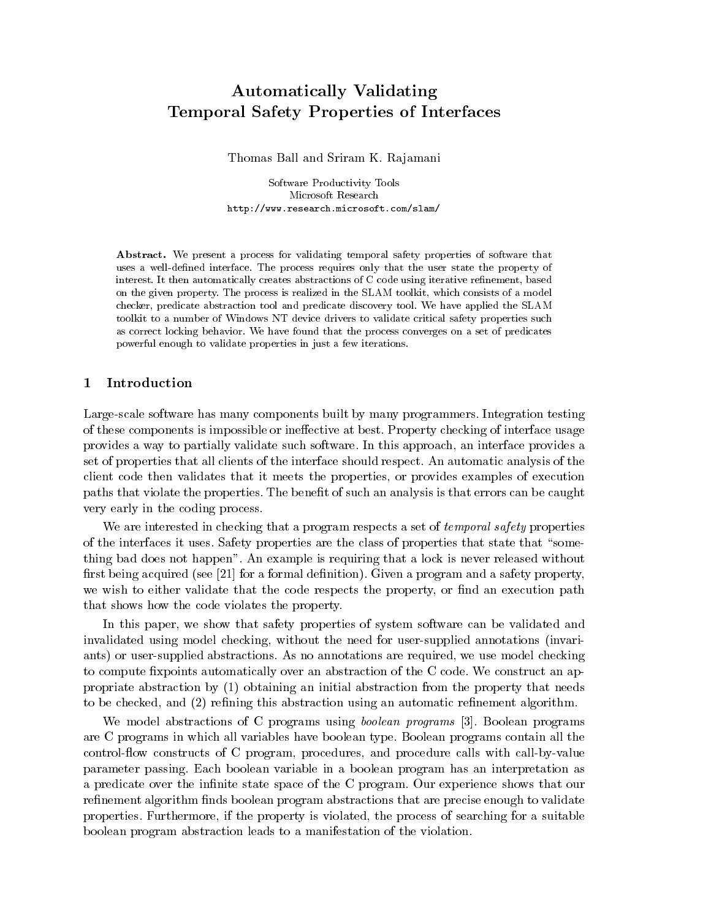# Automatically Validating Temporal Safety Properties of Interfaces

Thomas Ball and Sriram K. Rajamani

Software Productivity Tools Microsoft Research http://www.research.microsoft.com/slam/

Abstract. We present a process for validating temporal safety properties of software that uses a well-defined interface. The process requires only that the user state the property of interest. It then automatically creates abstractions of C code using iterative renement, based on the given property. The process is realized in the SLAM toolkit, which consists of a model checker, predicate abstraction tool and predicate discovery tool. We have applied the SLAM toolkit to a number of Windows NT device drivers to validate critical safety properties such as correct locking behavior. We have found that the process converges on a set of predicates powerful enough to validate properties in just a few iterations.

# 1 Introduction

Large-scale software has many components built by many programmers. Integration testing of these components is impossible or ineffective at best. Property checking of interface usage provides a way to partially validate such software. In this approach, an interface provides a set of properties that all clients of the interface should respect. An automatic analysis of the client code then validates that it meets the properties, or provides examples of execution paths that violate the properties. The benet of such an analysis is that errors can be caught very early in the coding process.

We are interested in checking that a program respects a set of *temporal safety* properties of the interfaces it uses. Safety properties are the class of properties that state that "something bad does not happen". An example is requiring that a lock is never released without first being acquired (see  $[21]$  for a formal definition). Given a program and a safety property, we wish to either validate that the code respects the property, or find an execution path that shows how the code violates the property.

In this paper, we show that safety properties of system software can be validated and invalidated using model checking, without the need for user-supplied annotations (invariants) or user-supplied abstractions. As no annotations are required, we use model checking to compute fixpoints automatically over an abstraction of the C code. We construct an appropriate abstraction by (1) obtaining an initial abstraction from the property that needs to be checked, and  $(2)$  refining this abstraction using an automatic refinement algorithm.

We model abstractions of C programs using *boolean programs* [3]. Boolean programs are C programs in which all variables have boolean type. Boolean programs contain all the control-flow constructs of C program, procedures, and procedure calls with call-by-value parameter passing. Each boolean variable in a boolean program has an interpretation as a predicate over the infinite state space of the C program. Our experience shows that our refinement algorithm finds boolean program abstractions that are precise enough to validate properties. Furthermore, if the property is violated, the process of searching for a suitable boolean program abstraction leads to a manifestation of the violation.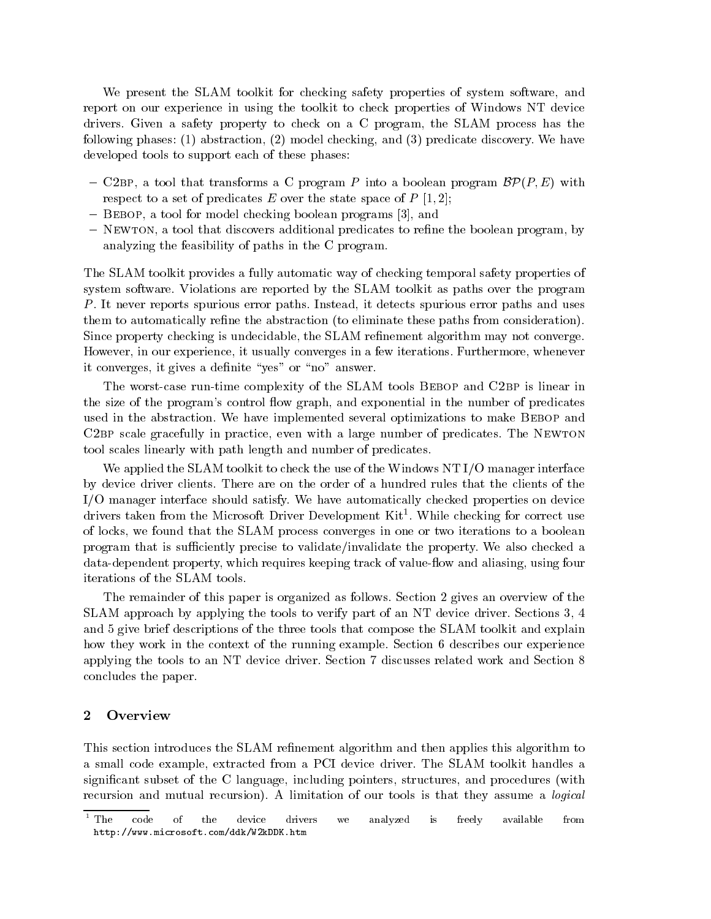We present the SLAM toolkit for checking safety properties of system software, and report on our experience in using the toolkit to check properties of Windows NT device drivers. Given a safety property to check on a C program, the SLAM process has the following phases: (1) abstraction, (2) model checking, and (3) predicate discovery. We have developed tools to support each of these phases:

- ${\rm -C2BP}$ , a tool that transforms a C program P into a boolean program  $\mathcal{BP}(P, E)$  with respect to a set of predicates E over the state space of  $P$  [1, 2];<br>- BEBOP, a tool for model checking boolean programs [3], and
- 
- NEWTON, a tool that discovers additional predicates to refine the boolean program, by analyzing the feasibility of paths in the C program.

The SLAM toolkit provides a fully automatic way of checking temporal safety properties of system software. Violations are reported by the SLAM toolkit as paths over the program P. It never reports spurious error paths. Instead, it detects spurious error paths and uses them to automatically refine the abstraction (to eliminate these paths from consideration). Since property checking is undecidable, the SLAM refinement algorithm may not converge. However, in our experience, it usually converges in a few iterations. Furthermore, whenever it converges, it gives a definite "yes" or "no" answer.

The worst-case run-time complexity of the SLAM tools BEBOP and C2BP is linear in the size of the program's control flow graph, and exponential in the number of predicates used in the abstraction. We have implemented several optimizations to make BEBOP and C2bp scale gracefully in practice, even with a large number of predicates. The Newton tool scales linearly with path length and number of predicates.

We applied the SLAM toolkit to check the use of the Windows NT I/O manager interface by device driver clients. There are on the order of a hundred rules that the clients of the I/O manager interface should satisfy. We have automatically checked properties on device drivers taken from the Microsoft Driver Development Kit1 . While checking for correct use of locks, we found that the SLAM process converges in one or two iterations to a boolean program that is sufficiently precise to validate/invalidate the property. We also checked a data-dependent property, which requires keeping track of value-flow and aliasing, using four iterations of the SLAM tools.

The remainder of this paper is organized as follows. Section 2 gives an overview of the SLAM approach by applying the tools to verify part of an NT device driver. Sections 3, 4 and 5 give brief descriptions of the three tools that compose the SLAM toolkit and explain how they work in the context of the running example. Section 6 describes our experience applying the tools to an NT device driver. Section 7 discusses related work and Section 8 concludes the paper.

# 2 Overview

This section introduces the SLAM refinement algorithm and then applies this algorithm to a small code example, extracted from a PCI device driver. The SLAM toolkit handles a signicant subset of the C language, including pointers, structures, and procedures (with recursion and mutual recursion). A limitation of our tools is that they assume a logical

 $1$  The The code of the device drivers we are device drivers we are device drivers we are device drivers we are device http://www.microsoft.com/ddk/W2kDDK.htm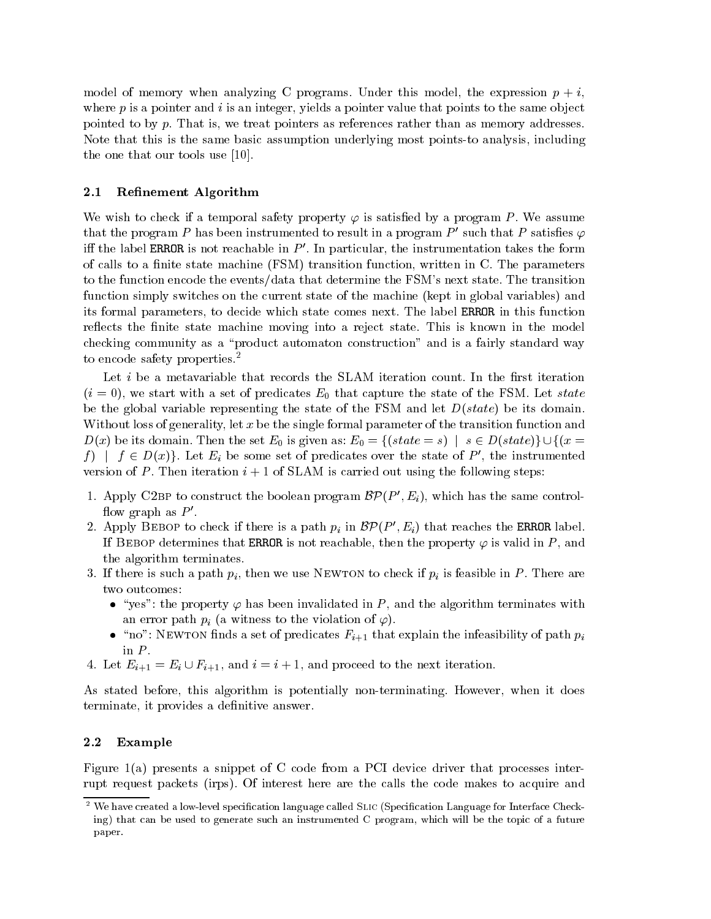model of memory when analyzing C programs. Under this model, the expression  $p + i$ , where  $p$  is a pointer and  $i$  is an integer, yields a pointer value that points to the same object pointed to by p. That is, we treat pointers as references rather than as memory addresses. Note that this is the same basic assumption underlying most points-to analysis, including the one that our tools use [10].

#### 2.1 Refinement Algorithm

We wish to check if a temporal safety property  $\varphi$  is satisfied by a program P. We assume that the program P has been instrumented to result in a program  $P'$  such that P satisfies  $\varphi$ iff the label ERROR is not reachable in  $P'$ . In particular, the instrumentation takes the form of calls to a finite state machine (FSM) transition function, written in C. The parameters to the function encode the events/data that determine the FSM's next state. The transition function simply switches on the current state of the machine (kept in global variables) and its formal parameters, to decide which state comes next. The label ERROR in this function reflects the finite state machine moving into a reject state. This is known in the model checking community as a "product automaton construction" and is a fairly standard way to encode safety properties.<sup>2</sup>

Let  $i$  be a metavariable that records the SLAM iteration count. In the first iteration  $(i = 0)$ , we start with a set of predicates  $E_0$  that capture the state of the FSM. Let state be the global variable representing the state of the FSM and let  $D(state)$  be its domain. Without loss of generality, let x be the single formal parameter of the transition function and  $D(x)$  be its domain. Then the set  $E_0$  is given as:  $E_0 = \{(state = s) \mid s \in D(state)\} \cup \{(x = s) \mid s \in D(state)\}$  $f$  |  $f \in D(x)$ . Let  $E_i$  be some set of predicates over the state of P', the instrumented version of P. Then iteration  $i + 1$  of SLAM is carried out using the following steps:

- 1. Apply C2BP to construct the boolean program  $\mathcal{BP}(P', E_i)$ , which has the same controlflow graph as  $P'$ .
- 2. Apply BEBOP to check if there is a path  $p_i$  in  $\mathcal{BP}(P', E_i)$  that reaches the ERROR label. If BEBOP determines that ERROR is not reachable, then the property  $\varphi$  is valid in P, and the algorithm terminates.
- 3. If there is such a path  $p_i$ , then we use NEWTON to check if  $p_i$  is feasible in P. There are two outcomes:
	- $\bullet$  "yes": the property  $\varphi$  has been invalidated in  $P,$  and the algorithm terminates with an error path  $p_i$  (a witness to the violation of  $\varphi$ ).
	- $\bullet$  "no": Newton finds a set of predicates  $F_{i+1}$  that explain the infeasibility of path  $p_i$ in  $P$ .
- 4. Let  $E_{i+1} = E_i \cup F_{i+1}$ , and  $i = i + 1$ , and proceed to the next iteration.

As stated before, this algorithm is potentially non-terminating. However, when it does terminate, it provides a definitive answer.

#### $2.2$ **Example**

Figure 1(a) presents a snippet of C code from a PCI device driver that processes interrupt request packets (irps). Of interest here are the calls the code makes to acquire and

 $^\circ$  We have created a low-level specification language called SLIC (Specification Language for Interface Checking) that can be used to generate such an instrumented C program, which will be the topic of a future paper.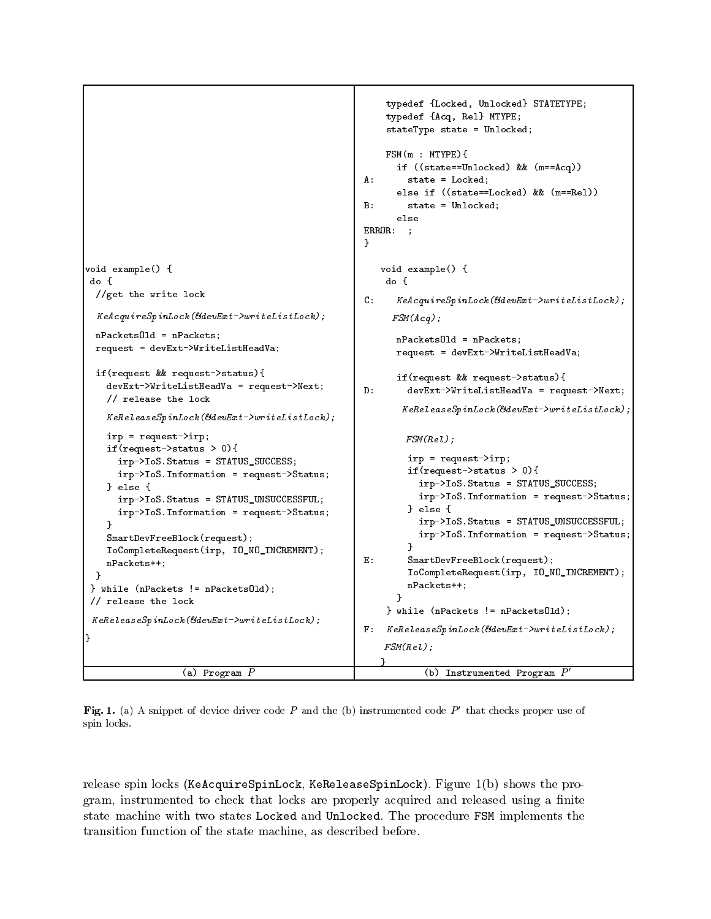```
typedef {Locked, Unlocked} STATETYPE;
                                                      typedef {Acq, Rel} MTYPE;
                                                      stateType state = Unlocked;
                                                      FSM(m : MTYPE){
                                                        if ((state==Unlocked) && (m==Acq))
                                                 A: state = Locked;
                                                       else if ((state==Locked) && (m==Rel))
                                                 B:state = Unlocked;
                                                       else
                                                 ERROR: ;
                                                 \mathcal{F}}
void example() {
                                                    void example() {
do {
                                                      do {
 //get the write lock
                                                 C:KeAcquireSpinLock(GdevExt->writeListLock);
 KeAcquireSp inLock (EdevExt->writeListLock);
                                                       FSM(Acq);
 nPacketsOld = nPackets;
                                                       nPacketsOld = nPackets;
 request = devExt->WriteListHeadVa;
                                                       request = devExt->WriteListHeadVa;
 if(request && request->status){
                                                        if(request && request->status){
   devExt->WriteListHeadVa = request->Next;
                                                          devExt-\geq WriteListHeadVa = request-\geq Next;// release the lock
                                                        KekeleaseSpinLock(6devExt->writeListLock);
   KeReleaseSpinLock(\mathcal{C}devExt->writeListLock);
   irp = request->irp;
                                                         FSM(Rel);
   if(request->status > 0){
                                                          irp = request->irp;
     irp->IoS.Status = STATUS_SUCCESS;
                                                          if(request->status > 0){
     irp->IoS.Information = request->Status;
                                                            irp->IoS.Status = STATUS_SUCCESS;
   \} else \{} else {
                                                           irp->IoS.Information = request->Status;
     irp->IoS.Status = STATUS_UNSUCCESSFUL;
                                                          } else {
     irp->IoS.Information = request->Status;
                                                            irp->IoS.Status = STATUS_UNSUCCESSFUL;
   \mathcal{F}}
                                                            irp->IoS.Information = request->Status;
   SmartDevFreeBlock(request);
                                                          ł
   IoCompleteRequest(irp, IO_NO_INCREMENT);
                                                          }
                                                          SmartDevFreeBlock(request);
   nPackets++;
                                                          IoCompleteRequest(irp, IO_NO_INCREMENT);
 }
                                                          nPackets++;
} while (nPackets != nPacketsOld);
                                                       J.
// release the lock
                                                        }
                                                      } while (nPackets != nPacketsOld);
KekeleaseSpinLock(6devExt->writeListLock);
                                                 F: KeReleaseSpinLock(&devExt->writeListLock);
                                                     FSM(Rel);
}
                 (a) Program P | (b) Instrumented Program P'
```
Fig. 1. (a) A snippet of device driver code P and the (b) instrumented code  $P'$  that checks proper use of spin locks.

release spin locks (KeAcquireSpinLock, KeReleaseSpinLock). Figure 1(b) shows the program, instrumented to check that locks are properly acquired and released using a finite state machine with two states Locked and Unlocked. The procedure FSM implements the transition function of the state machine, as described before.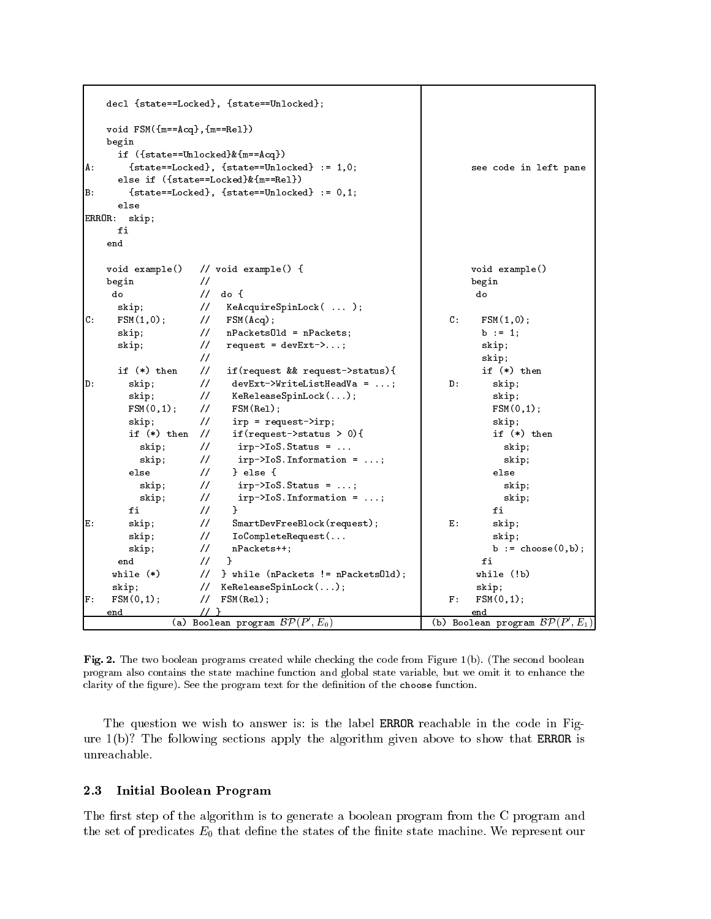|                |                                            |                | decl {state==Locked}, {state==Unlocked};           |                                             |                         |  |  |  |
|----------------|--------------------------------------------|----------------|----------------------------------------------------|---------------------------------------------|-------------------------|--|--|--|
|                | void $FSM({m=-Acq}, {m=-Rel})$             |                |                                                    |                                             |                         |  |  |  |
|                | begin                                      |                |                                                    |                                             |                         |  |  |  |
|                | if $({\text{state}}="Unlocked\&{m}="Acq})$ |                |                                                    |                                             |                         |  |  |  |
| A :            |                                            |                | ${\{state==Locked\}, \{state==Unlocked\}$ : = 1,0; |                                             | see code in left pane   |  |  |  |
|                |                                            |                | else if ({state==Locked} & {m==Rel})               |                                             |                         |  |  |  |
| B :            |                                            |                | {state==Locked}, {state==Unlocked} := $0,1$ ;      |                                             |                         |  |  |  |
|                | else                                       |                |                                                    |                                             |                         |  |  |  |
|                | ERROR:<br>skip;                            |                |                                                    |                                             |                         |  |  |  |
|                | fi                                         |                |                                                    |                                             |                         |  |  |  |
|                | end                                        |                |                                                    |                                             |                         |  |  |  |
|                | void example()                             |                | // $void example() {$                              |                                             | void example()          |  |  |  |
|                | begin                                      | $\frac{1}{2}$  |                                                    |                                             | begin                   |  |  |  |
|                | do                                         | $\frac{1}{2}$  | do {                                               |                                             | do                      |  |  |  |
|                | skip;                                      | $\frac{1}{2}$  | KeAcquireSpinLock(  );                             |                                             |                         |  |  |  |
| $\mathsf{C}$ : | FSM(1,0);                                  | $\frac{1}{2}$  | FSM(Acq);                                          | $\mathbf{C}$ :                              | FSM(1,0);               |  |  |  |
|                | skip;                                      | $\frac{1}{2}$  | $n$ Packets $0$ ld = $n$ Packets;                  |                                             | $b := 1$ :              |  |  |  |
|                | skip;                                      | $\frac{1}{2}$  | $request = devExt - \rangle ;$                     |                                             | skip;                   |  |  |  |
|                |                                            | $\prime\prime$ |                                                    |                                             | skip;                   |  |  |  |
|                | if $(*)$ then                              | $\frac{1}{2}$  | if(request && request->status){                    |                                             | if $(*)$ then           |  |  |  |
| D :            | skip;                                      | $\frac{1}{2}$  | $devExt->WriteListHeadVa = ;$                      | D:                                          | skip;                   |  |  |  |
|                | skip;                                      | $\frac{1}{2}$  | $K$ e $Re$ lease $SpinLock$ $( \ldots )$ ;         |                                             | skip;                   |  |  |  |
|                | $FSM(0,1)$ ;                               | $\frac{1}{2}$  | FSM(Rel);                                          |                                             | $FSM(0,1)$ ;            |  |  |  |
|                | skip;                                      | $\frac{1}{2}$  | $irp = request \rightarrow irp;$                   |                                             | skip;                   |  |  |  |
|                | if $(*)$ then                              | $\frac{1}{2}$  | if $(request->status > 0)$ {                       |                                             | if $(*)$ then           |  |  |  |
|                | skip;                                      | $\frac{1}{2}$  | $irp$ -> $I$ oS. Status =                          |                                             | skip;                   |  |  |  |
|                | skip;                                      | $\frac{1}{2}$  | $irp$ ->IoS. Information = ;                       |                                             | skip;                   |  |  |  |
|                | else                                       | $\frac{1}{2}$  | } else {                                           |                                             | else                    |  |  |  |
|                | skip;                                      | $\frac{1}{2}$  | $irp \rightarrow IoS$ . Status = ;                 |                                             | skip;                   |  |  |  |
|                | skip;                                      | $\prime\prime$ | $irp$ ->IoS. Information = ;                       |                                             | skip;                   |  |  |  |
|                | fi                                         | $\frac{1}{2}$  | <sup>T</sup>                                       |                                             | fi                      |  |  |  |
| E:             | skip;                                      | $\frac{1}{2}$  | $\verb SmartDevFreeBlock(request);$                | E:                                          | skip;                   |  |  |  |
|                | skip;                                      | $\frac{1}{2}$  | IoCompleteRequest(                                 |                                             | skip;                   |  |  |  |
|                | skip;                                      | $\frac{1}{2}$  | $nPacket$ :                                        |                                             | $b :=$ choose $(0,b)$ ; |  |  |  |
|                | end                                        | $\frac{1}{2}$  | <sup>T</sup>                                       |                                             | fi                      |  |  |  |
|                | while $(*)$                                |                | // } while (nPackets != nPackets01d);              |                                             | while (!b)              |  |  |  |
|                | skip;                                      | $\frac{1}{2}$  | $K$ e $R$ elease $SpinLock$ $( \ldots )$ ;         |                                             | skip;                   |  |  |  |
| F:             | FSM(0,1);                                  | $\frac{1}{2}$  | FSM(Rel);                                          | F:                                          | FSM(0,1);               |  |  |  |
|                | end                                        |                |                                                    |                                             | end                     |  |  |  |
|                |                                            |                | (a) Boolean program $\mathcal{BP}(P',E_0)$         | (b) Boolean program $\mathcal{BP}(P', E_1)$ |                         |  |  |  |

Fig. 2. The two boolean programs created while checking the code from Figure 1(b). (The second boolean program also contains the state machine function and global state variable, but we omit it to enhance the clarity of the figure). See the program text for the definition of the choose function.

The question we wish to answer is: is the label ERROR reachable in the code in Figure 1(b)? The following sections apply the algorithm given above to show that ERROR is unreachable.

# 2.3 Initial Boolean Program

The first step of the algorithm is to generate a boolean program from the C program and the set of predicates  $E_0$  that define the states of the finite state machine. We represent our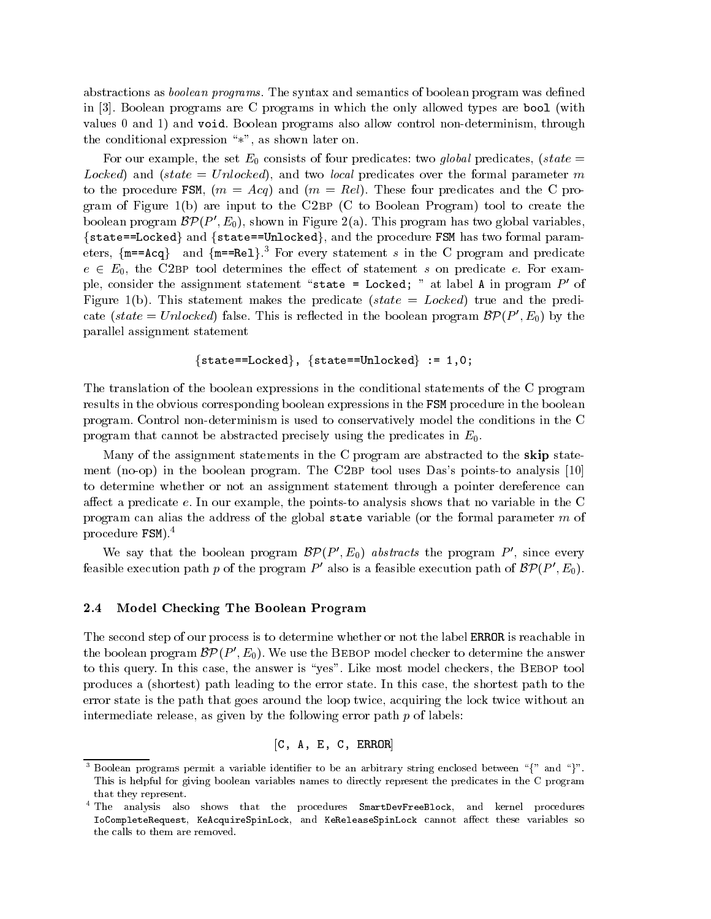abstractions as *boolean programs*. The syntax and semantics of boolean program was defined in [3]. Boolean programs are C programs in which the only allowed types are bool (with values 0 and 1) and void. Boolean programs also allow control non-determinism, through the conditional expression  $\sqrt[n]{\cdot}$ , as shown later on.

For our example, the set  $E_0$  consists of four predicates: two global predicates, (state = Locked) and (state  $=$  Unlocked), and two local predicates over the formal parameter m to the procedure FSM,  $(m = Acq)$  and  $(m = Rel)$ . These four predicates and the C program of Figure  $1(b)$  are input to the C2BP (C to Boolean Program) tool to create the boolean program  $\mathcal{BP}(P', E_0)$ , shown in Figure 2(a). This program has two global variables,  $\{state==Locked\}$  and  $\{state==Unlocked\}$ , and the procedure FSM has two formal parameters,  ${m=-Acq}$  and  ${m=-Rel}$ <sup>3</sup>. For every statement s in the C program and predicate  $e \in E_0$ , the C2BP tool determines the effect of statement s on predicate e. For example, consider the assignment statement "state = Locked; " at label A in program  $P'$  of Figure 1(b). This statement makes the predicate (state = Locked) true and the predicate (state = Unlocked) false. This is reflected in the boolean program  $\mathcal{BP}(P', E_0)$  by the parallel assignment statement

```
\{state==Locked\}, \{state==Unlocked\} := 1,0;
```
The translation of the boolean expressions in the conditional statements of the C program results in the obvious corresponding boolean expressions in the FSM procedure in the boolean program. Control non-determinism is used to conservatively model the conditions in the C program that cannot be abstracted precisely using the predicates in  $E_0$ .

Many of the assignment statements in the C program are abstracted to the skip statement (no-op) in the boolean program. The C2BP tool uses Das's points-to analysis [10] to determine whether or not an assignment statement through a pointer dereference can affect a predicate  $e$ . In our example, the points-to analysis shows that no variable in the C program can alias the address of the global state variable (or the formal parameter  $m$  of procedure FSM).4

We say that the boolean program  $\mathcal{BP}(P', E_0)$  abstracts the program P', since every feasible execution path p of the program  $P'$  also is a feasible execution path of  $\mathcal{BP}(P', E_0)$ .

#### 2.4 Model Checking The Boolean Program

The second step of our process is to determine whether or not the label ERROR is reachable in the boolean program  $\mathcal{BP}(P', E_0)$ . We use the BEBOP model checker to determine the answer to this query. In this case, the answer is "yes". Like most model checkers, the BEBOP tool produces a (shortest) path leading to the error state. In this case, the shortest path to the error state is the path that goes around the loop twice, acquiring the lock twice without an intermediate release, as given by the following error path  $p$  of labels:

 $[C, A, E, C, ERROR]$ 

 $^3$  Boolean programs permit a variable identifier to be an arbitrary string enclosed between "{" and "}". This is helpful for giving boolean variables names to directly represent the predicates in the C program that they represent.

<sup>4</sup> The analysis also shows that the procedures SmartDevFreeBlock, and kernel procedures IoCompleteRequest, KeAcquireSpinLock, and KeReleaseSpinLock cannot affect these variables so the calls to them are removed.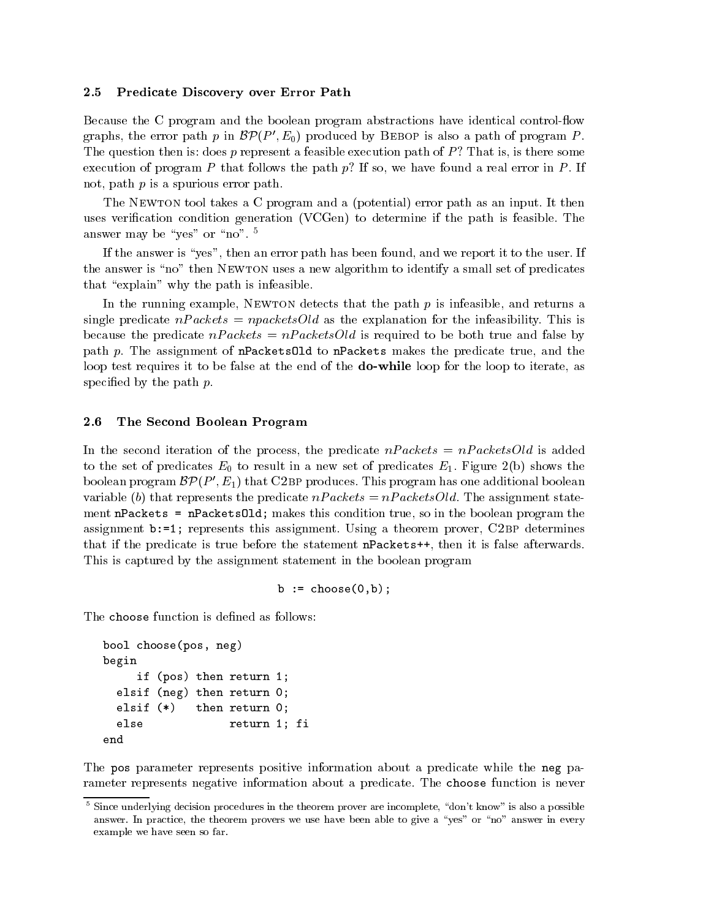#### 2.5 Predicate Discovery over Error Path

Because the C program and the boolean program abstractions have identical control-flow graphs, the error path p in  $\mathcal{BP}(P', E_0)$  produced by BEBOP is also a path of program P. The question then is: does  $p$  represent a feasible execution path of  $P$ ? That is, is there some execution of program P that follows the path p? If so, we have found a real error in P. If not, path p is a spurious error path.

The Newton tool takes a C program and a (potential) error path as an input. It then uses verification condition generation (VCGen) to determine if the path is feasible. The answer may be "yes" or "no".  $5$ 

If the answer is "yes", then an error path has been found, and we report it to the user. If the answer is "no" then NEWTON uses a new algorithm to identify a small set of predicates that "explain" why the path is infeasible.

In the running example, NEWTON detects that the path  $p$  is infeasible, and returns a single predicate  $nPackets = npacketsOld$  as the explanation for the infeasibility. This is because the predicate  $nPackets = nPacketsOld$  is required to be both true and false by path p. The assignment of nPacketsOld to nPackets makes the predicate true, and the loop test requires it to be false at the end of the **do-while** loop for the loop to iterate, as specified by the path  $p$ .

# 2.6 The Second Boolean Program

In the second iteration of the process, the predicate  $nPackets = nPacketsOld$  is added to the set of predicates  $E_0$  to result in a new set of predicates  $E_1$ . Figure 2(b) shows the boolean program  $\mathcal{BP}(P', E_1)$  that C2BP produces. This program has one additional boolean variable (b) that represents the predicate  $nPackets = nPacketsOld$ . The assignment statement nPackets = nPacketsOld; makes this condition true, so in the boolean program the assignment  $b:=1$ ; represents this assignment. Using a theorem prover, C2BP determines that if the predicate is true before the statement nPackets++, then it is false afterwards. This is captured by the assignment statement in the boolean program

 $b :=$  choose  $(0,b)$ ;

The choose function is defined as follows:

```
bool choose(pos, neg)
begin
     if (pos) then return 1;
  elsif (neg) then return 0;
  elsif (*) then return 0;
  else
                   return 1; fi
end
```
The pos parameter represents positive information about a predicate while the neg parameter represents negative information about a predicate. The choose function is never

 $^{\circ}$  Since underlying decision procedures in the theorem prover are incomplete, "don't know" is also a possible answer. In practice, the theorem provers we use have been able to give a "yes" or "no" answer in every example we have seen so far.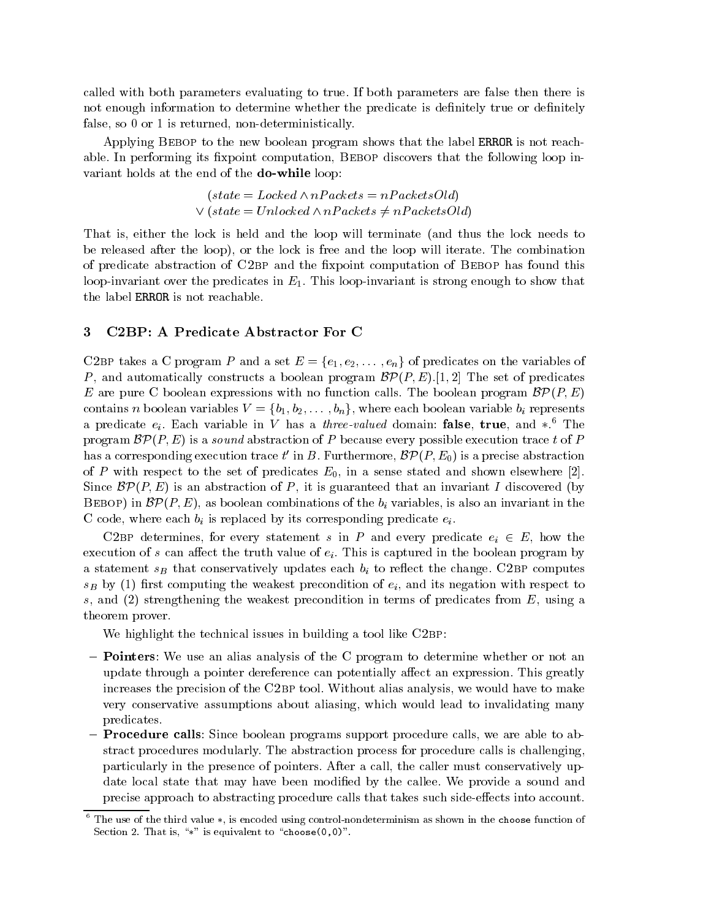called with both parameters evaluating to true. If both parameters are false then there is not enough information to determine whether the predicate is definitely true or definitely false, so 0 or 1 is returned, non-deterministically.

Applying Bebop to the new boolean program shows that the label ERROR is not reachable. In performing its fixpoint computation, BEBOP discovers that the following loop invariant holds at the end of the do-while loop:

$$
(state = Locked \land nPackets = nPacketsOld)
$$
  

$$
\lor (state = Unlocked \land nPackets \neq nPacketsOld)
$$

That is, either the lock is held and the loop will terminate (and thus the lock needs to be released after the loop), or the lock is free and the loop will iterate. The combination of predicate abstraction of C2BP and the fixpoint computation of BEBOP has found this loop-invariant over the predicates in  $E_1$ . This loop-invariant is strong enough to show that the label ERROR is not reachable.

# 3 C2BP: A Predicate Abstractor For C

C2BP takes a C program P and a set  $E = \{e_1, e_2, \ldots, e_n\}$  of predicates on the variables of P, and automatically constructs a boolean program  $\mathcal{BP}(P, E)$ . [1, 2] The set of predicates E are pure C boolean expressions with no function calls. The boolean program  $\mathcal{BP}(P, E)$ contains n boolean variables  $V = \{b_1, b_2, \ldots, b_n\}$ , where each boolean variable  $b_i$  represents a predicate  $e_i$ . Each variable in V has a *three-valued* domain: **false**, **true**, and  $*$ .<sup>6</sup> The program  $\mathcal{BP}(P, E)$  is a sound abstraction of P because every possible execution trace t of P has a corresponding execution trace t' in B. Furthermore,  $\mathcal{BP}(P,E_0)$  is a precise abstraction of P with respect to the set of predicates  $E_0$ , in a sense stated and shown elsewhere [2]. Since  $\mathcal{BP}(P, E)$  is an abstraction of P, it is guaranteed that an invariant I discovered (by BEBOP) in  $\mathcal{BP}(P, E)$ , as boolean combinations of the  $b_i$  variables, is also an invariant in the C code, where each  $b_i$  is replaced by its corresponding predicate  $e_i$ .

C2BP determines, for every statement s in P and every predicate  $e_i \in E$ , how the execution of s can affect the truth value of  $e_i$ . This is captured in the boolean program by a statement  $s_B$  that conservatively updates each  $b_i$  to reflect the change. C2BP computes  $s_B$  by (1) first computing the weakest precondition of  $e_i$ , and its negation with respect to s, and  $(2)$  strengthening the weakest precondition in terms of predicates from E, using a theorem prover.

We highlight the technical issues in building a tool like C2BP:

- { Pointers: We use an alias analysis of the C program to determine whether or not an update through a pointer dereference can potentially affect an expression. This greatly increases the precision of the C2BP tool. Without alias analysis, we would have to make very conservative assumptions about aliasing, which would lead to invalidating many predicates.
- ${\bf -}$  **Procedure calls**: Since boolean programs support procedure calls, we are able to abstract procedures modularly. The abstraction process for procedure calls is challenging, particularly in the presence of pointers. After a call, the caller must conservatively update local state that may have been modified by the callee. We provide a sound and precise approach to abstracting procedure calls that takes such side-effects into account.

 $^\circ$  The use of the third value  $*$ , is encoded using control-nondeterminism as shown in the choose function of Section 2. That is, " $*$ " is equivalent to "choose(0,0)".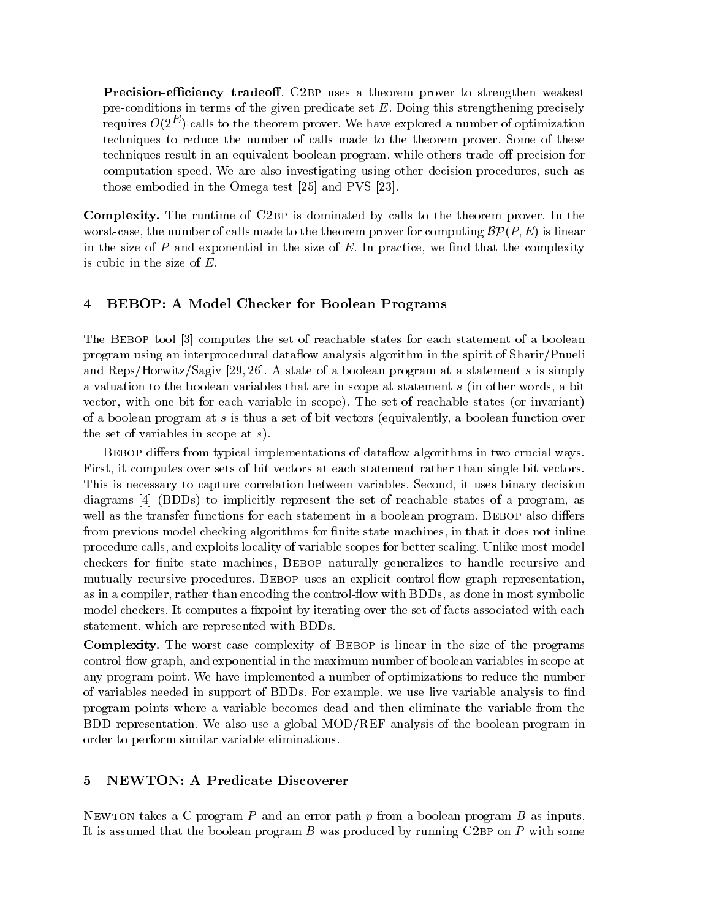- Precision-efficiency tradeoff. C2BP uses a theorem prover to strengthen weakest pre-conditions in terms of the given predicate set E. Doing this strengthening precisely requires  $O(Z^-)$  calls to the theorem prover. We have explored a number of optimization techniques to reduce the number of calls made to the theorem prover. Some of these techniques result in an equivalent boolean program, while others trade off precision for computation speed. We are also investigating using other decision procedures, such as those embodied in the Omega test [25] and PVS [23].

Complexity. The runtime of C2bp is dominated by calls to the theorem prover. In the worst-case, the number of calls made to the theorem prover for computing  $\mathcal{BP}(P, E)$  is linear in the size of  $P$  and exponential in the size of  $E$ . In practice, we find that the complexity is cubic in the size of E.

# 4 BEBOP: A Model Checker for Boolean Programs

The BEBOP tool [3] computes the set of reachable states for each statement of a boolean program using an interprocedural data
ow analysis algorithm in the spirit of Sharir/Pnueli and Reps/Horwitz/Sagiv [29, 26]. A state of a boolean program at a statement s is simply a valuation to the boolean variables that are in scope at statement s (in other words, a bit vector, with one bit for each variable in scope). The set of reachable states (or invariant) of a boolean program at s is thus a set of bit vectors (equivalently, a boolean function over the set of variables in scope at s).

BEBOP differs from typical implementations of dataflow algorithms in two crucial ways. First, it computes over sets of bit vectors at each statement rather than single bit vectors. This is necessary to capture correlation between variables. Second, it uses binary decision diagrams [4] (BDDs) to implicitly represent the set of reachable states of a program, as well as the transfer functions for each statement in a boolean program. BEBOP also differs from previous model checking algorithms for finite state machines, in that it does not inline procedure calls, and exploits locality of variable scopes for better scaling. Unlike most model checkers for nite state machines, Bebop naturally generalizes to handle recursive and mutually recursive procedures. BEBOP uses an explicit control-flow graph representation, as in a compiler, rather than encoding the control-flow with BDDs, as done in most symbolic model checkers. It computes a fixpoint by iterating over the set of facts associated with each statement, which are represented with BDDs.

Complexity. The worst-case complexity of Bebop is linear in the size of the programs control-flow graph, and exponential in the maximum number of boolean variables in scope at any program-point. We have implemented a number of optimizations to reduce the number of variables needed in support of BDDs. For example, we use live variable analysis to find program points where a variable becomes dead and then eliminate the variable from the BDD representation. We also use a global MOD/REF analysis of the boolean program in order to perform similar variable eliminations.

#### **NEWTON: A Predicate Discoverer** 5

NEWTON takes a C program  $P$  and an error path  $p$  from a boolean program  $B$  as inputs. It is assumed that the boolean program  $B$  was produced by running C2BP on  $P$  with some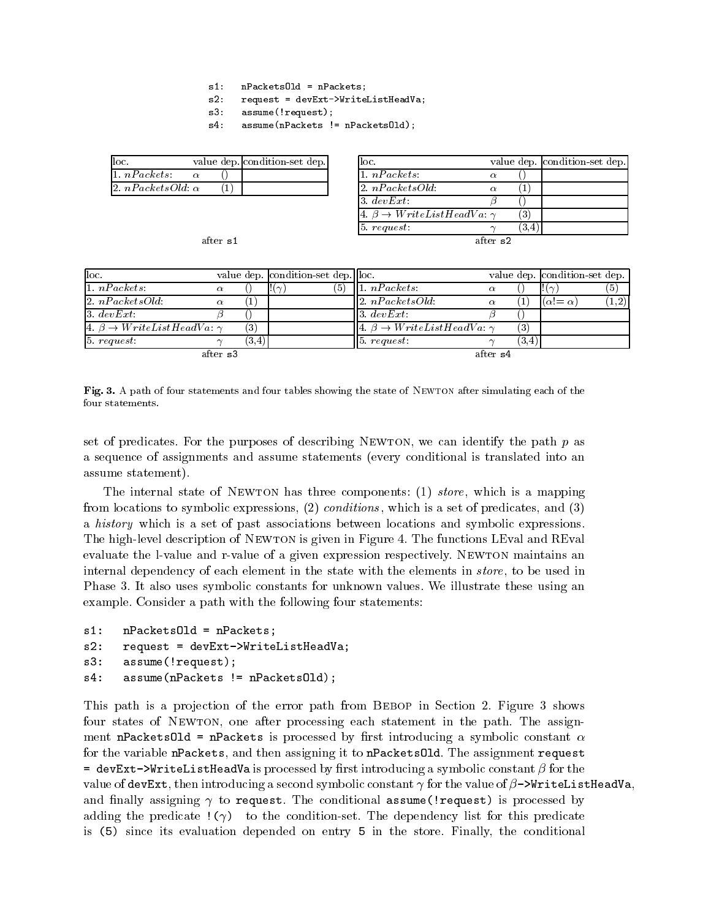- $s1$ :  $nPackets01d = nPackets;$
- s2: request = devExt->WriteListHeadVa;
- s3: assume(!request);
- $s4$  $assume(nPackets != nPackets);$

| Hoc.                     |  | value dep. condition-set dep. |
|--------------------------|--|-------------------------------|
| 1. nPackets.             |  |                               |
| 2. $nPacketsOld: \alpha$ |  |                               |

| after | -s 1 |
|-------|------|
|       |      |

| loc.                                           |  | value dep. condition-set dep. |  |
|------------------------------------------------|--|-------------------------------|--|
| 1. nPackets.                                   |  |                               |  |
| 2. $nPacketsOld:$                              |  |                               |  |
| 3. $devExt:$                                   |  |                               |  |
| 4. $\beta \rightarrow WriteListHeadVa: \gamma$ |  |                               |  |
| 5. request.                                    |  |                               |  |
|                                                |  |                               |  |

| -loc-                                           |  |       | value dep. condition-set dep. loc. |                                             |          |       | value dep. condition set dep. |                |
|-------------------------------------------------|--|-------|------------------------------------|---------------------------------------------|----------|-------|-------------------------------|----------------|
| 1. nPackets:                                    |  |       | $1/\sim$<br>'5)                    | nPackets:                                   |          |       |                               | $\mathfrak{d}$ |
| 2. nPacketsOld                                  |  |       |                                    | $\Box$ nPacketsOld:                         |          |       | $\alpha = \alpha$             | 1,2)           |
| $3. \; devExt.$                                 |  |       |                                    | $3. \; devExt.$                             |          |       |                               |                |
| $ 4. \beta \rightarrow WriteListHeadVa: \gamma$ |  | 3)    |                                    | $\beta \rightarrow WriteListHeadVa: \gamma$ |          | 3)    |                               |                |
| 5. request:                                     |  | (3.4) |                                    | $\mathsf{I5.}\; request:$                   |          | (3.4) |                               |                |
| after s3                                        |  |       |                                    |                                             | after s4 |       |                               |                |

Fig. 3. A path of four statements and four tables showing the state of Newton after simulating each of the four statements.

set of predicates. For the purposes of describing NEWTON, we can identify the path  $p$  as a sequence of assignments and assume statements (every conditional is translated into an assume statement).

The internal state of NEWTON has three components: (1) *store*, which is a mapping from locations to symbolic expressions, (2) conditions , which is a set of predicates, and (3) a history which is a set of past associations between locations and symbolic expressions. The high-level description of Newton is given in Figure 4. The functions LEval and REval evaluate the l-value and r-value of a given expression respectively. NEWTON maintains an internal dependency of each element in the state with the elements in *store*, to be used in Phase 3.It also uses symbolic constants for unknown values. We illustrate these using an example. Consider a path with the following four statements:

```
s1: nPacketsOld = nPackets;
s2: request = devExt->WriteListHeadVa;
s3:
     assume(!request);
s4:assume(nPackets != nPackets();
```
This path is a projection of the error path from BEBOP in Section 2. Figure 3 shows four states of Newton, one after processing each statement in the path. The assignment nPacketsOld = nPackets is processed by first introducing a symbolic constant  $\alpha$ for the variable nPackets, and then assigning it to nPacketsOld. The assignment request  $=$  devExt->WriteListHeadVa is processed by first introducing a symbolic constant  $\beta$  for the value of devExt, then introducing a second symbolic constant  $\gamma$  for the value of  $\beta$ ->WriteListHeadVa, and finally assigning  $\gamma$  to request. The conditional assume (! request) is processed by adding the predicate  $\langle \gamma \rangle$  to the condition-set. The dependency list for this predicate is (5) since its evaluation depended on entry 5 in the store. Finally, the conditional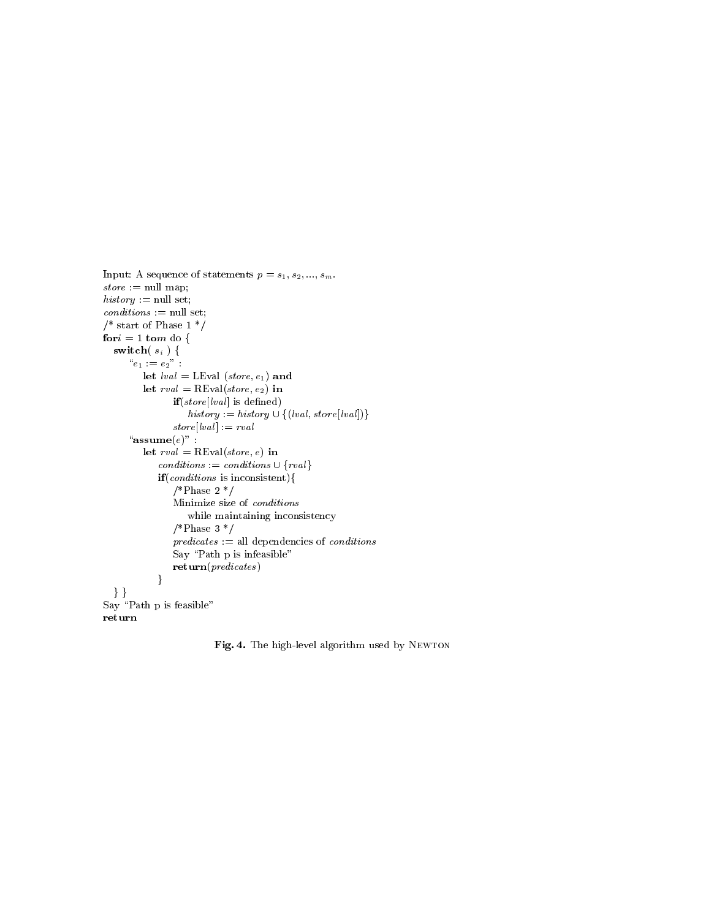```
Input: A sequence of statements p = s_1, s_2, ..., s_m.
store := null map;history := null set;conditions := null set;/* start of Phase 1 */\mathbf{for}i\,=\,1 to<br> do {switch(s_i) {
      \mu e_1 := e_2" :
          let lval = \text{LEval}(store, e_1) and
          let rval = REval(\text{store}, e_2) in
                 \mathbf{if}(\mathit{store}[\mathit{lval}] \text{ is defined})history := history \cup {(lval, store[lval])}
                  \mathit{store}[\mathit{lval}] := \mathit{rval}\alphaassume(e)" :
          let rval = REval(\text{store}, e) in
             conditions := conditions \cup \{rval\}if(conditions is inconsistent){
                  /*Phase 2 */Minimize size of conditions
                     while maintaining inconsistency
                  /*Phase 3 */
                  predicates := all dependencies of conditionsSay "Path p is infeasible"
                 return(predicates )
             \}\}Say "Path p is feasible"
return
```
Fig. 4. The high-level algorithm used by Newton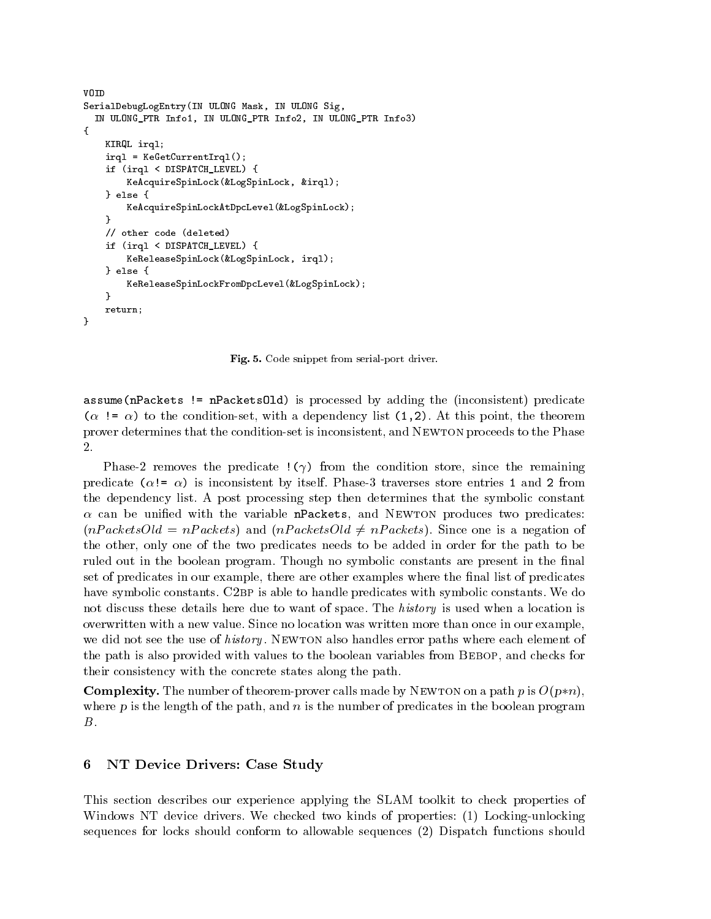```
VOID
SerialDebugLogEntry(IN ULONG Mask, IN ULONG Sig,
  IN ULONG_PTR Info1, IN ULONG_PTR Info2, IN ULONG_PTR Info3)
{\color{red} \bullet} . The contract of the contract of the contract of the contract of the contract of the contract of the contract of the contract of the contract of the contract of the contract of the contract of the contract of 
     KIRQL irql;
     irql = KeGetCurrentIrql();
     if (irql < DISPATCH_LEVEL) {
           KeAcquireSpinLock(&LogSpinLock, &irql);
     } else {
           KeAcquireSpinLockAtDpcLevel(&LogSpinLock);
     ŀ
      }
     // other code (deleted)
     if (irql < DISPATCH_LEVEL) {
           KeReleaseSpinLock(&LogSpinLock, irql);
     else f
      } else {
           KeReleaseSpinLockFromDpcLevel(&LogSpinLock);
      }
     return;
}
```
Fig. 5. Code snippet from serial-port driver.

assume(nPackets  $!=$  nPacketsOld) is processed by adding the (inconsistent) predicate  $(\alpha \neq \alpha)$  to the condition-set, with a dependency list (1,2). At this point, the theorem prover determines that the condition-set is inconsistent, and Newton proceeds to the Phase 2.

Phase-2 removes the predicate  $\langle \gamma \rangle$  from the condition store, since the remaining predicate  $(\alpha! = \alpha)$  is inconsistent by itself. Phase-3 traverses store entries 1 and 2 from the dependency list. A post processing step then determines that the symbolic constant  $\alpha$  can be unified with the variable nPackets, and NEWTON produces two predicates:  $(nPacketsOld = nPackets)$  and  $(nPacketsOld \neq nPackets)$ . Since one is a negation of the other, only one of the two predicates needs to be added in order for the path to be ruled out in the boolean program. Though no symbolic constants are present in the final set of predicates in our example, there are other examples where the final list of predicates have symbolic constants. C2BP is able to handle predicates with symbolic constants. We do not discuss these details here due to want of space. The history is used when a location is overwritten with a new value. Since no location was written more than once in our example, we did not see the use of *history*. NEWTON also handles error paths where each element of the path is also provided with values to the boolean variables from BEBOP, and checks for their consistency with the concrete states along the path.

**Complexity.** The number of theorem-prover calls made by NEWTON on a path p is  $O(p*n)$ . where  $p$  is the length of the path, and  $n$  is the number of predicates in the boolean program

# 6 NT Device Drivers: Case Study

This section describes our experience applying the SLAM toolkit to check properties of Windows NT device drivers. We checked two kinds of properties: (1) Locking-unlocking sequences for locks should conform to allowable sequences (2) Dispatch functions should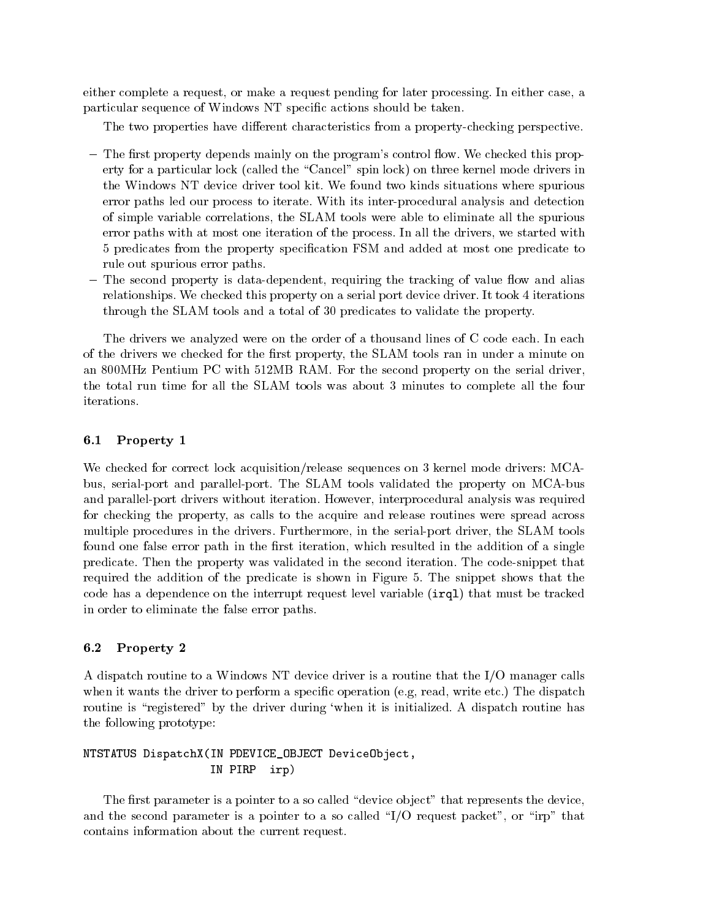either complete a request, or make a request pending for later processing. In either case, a particular sequence of Windows NT specic actions should be taken.

The two properties have different characteristics from a property-checking perspective.

- The first property depends mainly on the program's control flow. We checked this property for a particular lock (called the "Cancel" spin lock) on three kernel mode drivers in the Windows NT device driver tool kit. We found two kinds situations where spurious error paths led our process to iterate. With its inter-procedural analysis and detection of simple variable correlations, the SLAM tools were able to eliminate all the spurious error paths with at most one iteration of the process. In all the drivers, we started with 5 predicates from the property specication FSM and added atmost one predicate to rule out spurious error paths.
- The second property is data-dependent, requiring the tracking of value flow and alias relationships. We checked this property on a serial port device driver. It took 4 iterations through the SLAM tools and a total of 30 predicates to validate the property.

The drivers we analyzed were on the order of a thousand lines of C code each. In each of the drivers we checked for the first property, the SLAM tools ran in under a minute on an 800MHz Pentium PC with 512MB RAM. For the second property on the serial driver, the total run time for all the SLAM tools was about 3 minutes to complete all the four iterations.

### 6.1 Property 1

We checked for correct lock acquisition/release sequences on 3 kernel mode drivers: MCAbus, serial-port and parallel-port. The SLAM tools validated the property on MCA-bus and parallel-port drivers without iteration. However, interprocedural analysis was required for checking the property, as calls to the acquire and release routines were spread across multiple procedures in the drivers. Furthermore, in the serial-port driver, the SLAM tools found one false error path in the first iteration, which resulted in the addition of a single predicate. Then the property was validated in the second iteration. The code-snippet that required the addition of the predicate is shown in Figure 5. The snippet shows that the code has a dependence on the interrupt request level variable (irql) that must be tracked in order to eliminate the false error paths.

#### 6.2 Property 2

A dispatch routine to a Windows NT device driver is a routine that the I/O manager calls when it wants the driver to perform a specific operation (e.g. read, write etc.) The dispatch routine is "registered" by the driver during 'when it is initialized. A dispatch routine has the following prototype:

NTSTATUS DispatchX(IN PDEVICE\_OBJECT DeviceObject, IN PIRP irp)

The first parameter is a pointer to a so called "device object" that represents the device, and the second parameter is a pointer to a so called "I/O request packet", or "irp" that contains information about the current request.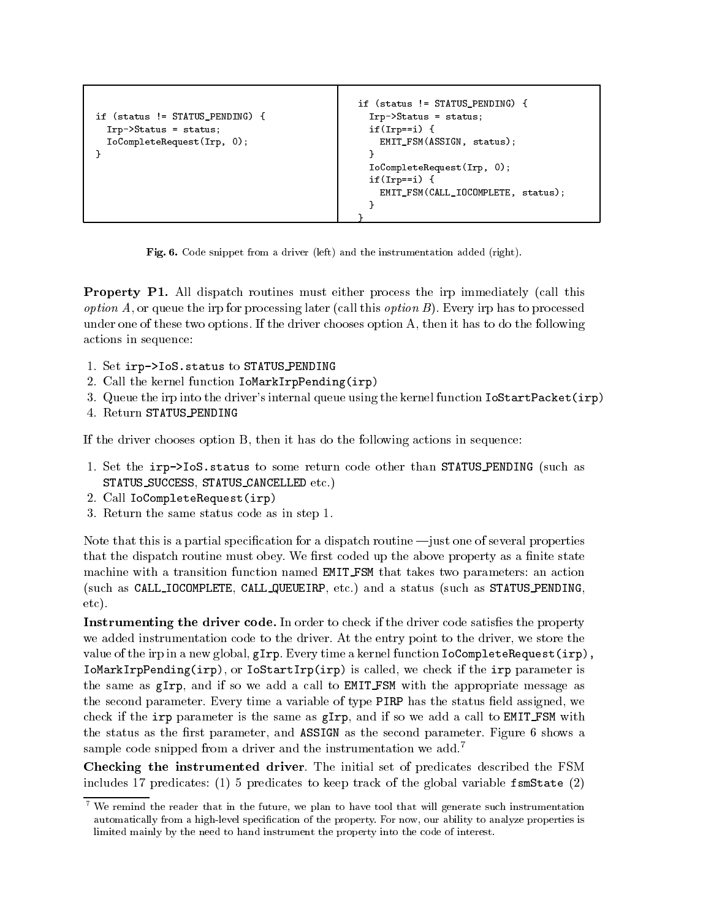```
if (status != STATUS_PENDING) {
if (status != STATUS_PENDING) {
                                                Irp->Status = status;
  Irp->Status = status;
                                                if(Irp==i) {
  IoCompleteRequest(Irp, 0);
                                                  EMIT_FSM(ASSIGN, status);
J.
                                                ι
}
                                                }
                                                IoCompleteRequest(Irp, 0);
                                                if(Irp==i) {
                                                  EMIT_FSM(CALL_IOCOMPLETE, status);
                                                }
                                              }
```
Fig. 6. Code snippet from a driver (left) and the instrumentation added (right).

Property P1. All dispatch routines must either process the irp immediately (call this *option A*, or queue the irp for processing later (call this *option B*). Every irp has to processed under one of these two options. If the driver chooses option A, then it has to do the following actions in sequence:

- 1. Set irp->IoS.status to STATUS PENDING
- 2. Call the kernel function IoMarkIrpPending(irp)
- 3. Queue the irp into the driver's internal queue using the kernel function IoStartPacket(irp)
- 4. Return STATUS PENDING

If the driver chooses option B, then it has do the following actions in sequence:

- 1. Set the irp->IoS.status to some return code other than STATUS PENDING (such as STATUS\_SUCCESS, STATUS\_CANCELLED etc.)
- 2. Call IoCompleteRequest(irp)
- 3. Return the same status code as in step 1.

Note that this is a partial specification for a dispatch routine  $-\text{just}$  one of several properties that the dispatch routine must obey. We first coded up the above property as a finite state machine with a transition function named EMIT FSM that takes two parameters: an action (such as CALL IOCOMPLETE, CALL QUEUEIRP, etc.) and a status (such as STATUS PENDING, etc).

Instrumenting the driver code. In order to check if the driver code satisfies the property we added instrumentation code to the driver. At the entry point to the driver, we store the value of the irp in a new global, gIrp. Every time a kernel function IoCompleteRequest(irp), IoMarkIrpPending(irp), or IoStartIrp(irp) is called, we check if the irp parameter is the same as gIrp, and if so we add a call to EMIT FSM with the appropriate message as the second parameter. Every time a variable of type PIRP has the status field assigned, we check if the irp parameter is the same as gIrp, and if so we add a call to EMIT FSM with the status as the first parameter, and ASSIGN as the second parameter. Figure 6 shows a sample code snipped from a driver and the instrumentation we add.<sup>7</sup>

Checking the instrumented driver. The initial set of predicates described the FSM includes 17 predicates:  $(1)$  5 predicates to keep track of the global variable fsmState  $(2)$ 

 $^\circ$  we remind the reader that in the future, we plan to have tool that will generate such instrumentation  $^\circ$ automatically from a high-level specification of the property. For now, our ability to analyze properties is limited mainly by the need to hand instrument the property into the code of interest.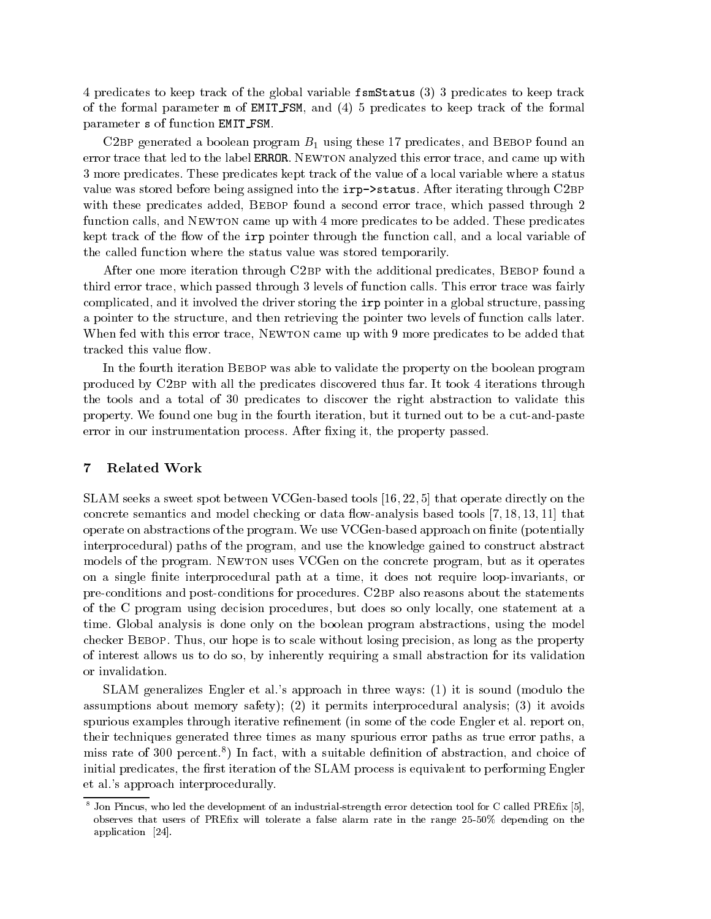4 predicates to keep track of the global variable fsmStatus (3) 3 predicates to keep track of the formal parameter m of EMIT FSM, and (4) <sup>5</sup> predicates to keep track of the formal parameter <sup>s</sup> of function EMIT FSM.

C2BP generated a boolean program  $B_1$  using these 17 predicates, and BEBOP found an error trace that led to the label ERROR. Newton analyzed this error trace, and came up with 3 more predicates. These predicates kept track of the value of a local variable where a status value was stored before being assigned into the **irp->status**. After iterating through C2BP with these predicates added, BEBOP found a second error trace, which passed through 2 function calls, and Newton came up with 4 more predicates to be added. These predicates kept track of the flow of the **irp** pointer through the function call, and a local variable of the called function where the status value was stored temporarily.

After one more iteration through C2bp with the additional predicates, Bebop found a third error trace, which passed through 3 levels of function calls. This error trace was fairly complicated, and it involved the driver storing the irp pointer in a global structure, passing a pointer to the structure, and then retrieving the pointer two levels of function calls later. When fed with this error trace, NEWTON came up with 9 more predicates to be added that tracked this value flow.

In the fourth iteration BEBOP was able to validate the property on the boolean program produced by C2bp with all the predicates discovered thus far. It took 4 iterations through the tools and a total of 30 predicates to discover the right abstraction to validate this property. We found one bug in the fourth iteration, but it turned out to be a cut-and-paste error in our instrumentation process. After fixing it, the property passed.

#### 7 Related Work

SLAM seeks a sweet spot between VCGen-based tools [16, 22, 5] that operate directly on the concrete semantics and model checking or data flow-analysis based tools  $[7, 18, 13, 11]$  that operate on abstractions of the program. We use VCGen-based approach on finite (potentially interprocedural) paths of the program, and use the knowledge gained to construct abstract models of the program. Newton uses VCGen on the concrete program, but as it operates on a single finite interprocedural path at a time, it does not require loop-invariants, or pre-conditions and post-conditions for procedures. C2bp also reasons about the statements of the C program using decision procedures, but does so only locally, one statement at a time. Global analysis is done only on the boolean program abstractions, using the model checker Bebop. Thus, our hope is to scale without losing precision, as long as the property of interest allows us to do so, by inherently requiring a small abstraction for its validation or invalidation.

SLAM generalizes Engler et al.'s approach in three ways: (1) it is sound (modulo the assumptions about memory safety); (2) it permits interprocedural analysis; (3) it avoids spurious examples through iterative refinement (in some of the code Engler et al. report on, their techniques generated three times as many spurious error paths as true error paths, a miss rate of 300 percent.<sup>8</sup> ) In fact, with a suitable denition of abstraction, and choice of initial predicates, the first iteration of the SLAM process is equivalent to performing Engler et al.'s approach interprocedurally.

 $^\circ$  Jon Pincus, who led the development of an industrial-strength error detection tool for U called PRE/1X [5],  $^\circ$ observes that users of PREx will tolerate a false alarm rate in the range 25-50% depending on the application [24].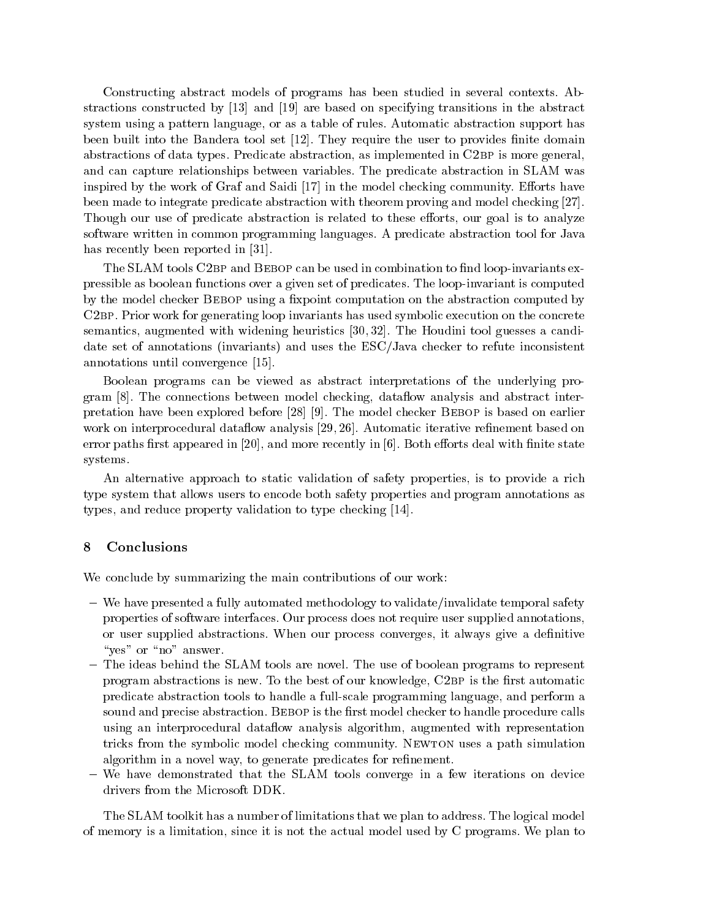Constructing abstract models of programs has been studied in several contexts. Abstractions constructed by  $[13]$  and  $[19]$  are based on specifying transitions in the abstract system using a pattern language, or as a table of rules. Automatic abstraction support has been built into the Bandera tool set  $[12]$ . They require the user to provides finite domain abstractions of data types. Predicate abstraction, as implemented in C2bp is more general, and can capture relationships between variables. The predicate abstraction in SLAM was inspired by the work of Graf and Saidi  $[17]$  in the model checking community. Efforts have been made to integrate predicate abstraction with theorem proving and model checking [27]. Though our use of predicate abstraction is related to these efforts, our goal is to analyze software written in common programming languages. A predicate abstraction tool for Java has recently been reported in [31].

The SLAM tools C2BP and BEBOP can be used in combination to find loop-invariants expressible as boolean functions over a given set of predicates. The loop-invariant is computed by the model checker BEBOP using a fixpoint computation on the abstraction computed by C2bp. Prior work for generating loop invariants has used symbolic execution on the concrete semantics, augmented with widening heuristics [30, 32]. The Houdini tool guesses a candidate set of annotations (invariants) and uses the ESC/Java checker to refute inconsistent annotations until convergence [15].

Boolean programs can be viewed as abstract interpretations of the underlying program [8]. The connections between model checking, dataflow analysis and abstract interpretation have been explored before [28] [9]. The model checker Bebop is based on earlier work on interprocedural dataflow analysis [29, 26]. Automatic iterative refinement based on error paths first appeared in  $[20]$ , and more recently in  $[6]$ . Both efforts deal with finite state systems.

An alternative approach to static validation of safety properties, is to provide a rich type system that allows users to encode both safety properties and program annotations as types, and reduce property validation to type checking [14].

#### 8 Conclusions

We conclude by summarizing the main contributions of our work:

- { We have presented a fully automated methodology to validate/invalidate temporal safety properties of software interfaces. Our process does not require user supplied annotations, or user supplied abstractions. When our process converges, it always give a denitive " $yes"$  or " $no"$  answer.
- { The ideas behind the SLAM tools are novel. The use of boolean programs to represent program abstractions is new. To the best of our knowledge,  $C2BP$  is the first automatic predicate abstraction tools to handle a full-scale programming language, and perform a sound and precise abstraction. BEBOP is the first model checker to handle procedure calls using an interprocedural dataflow analysis algorithm, augmented with representation tricks from the symbolic model checking community. Newton uses a path simulation algorithm in a novel way, to generate predicates for refinement.
- { We have demonstrated that the SLAM tools converge in a few iterations on device drivers from the Microsoft DDK.

The SLAM toolkit has a number of limitations that we plan to address. The logical model of memory is a limitation, since it is not the actual model used by C programs. We plan to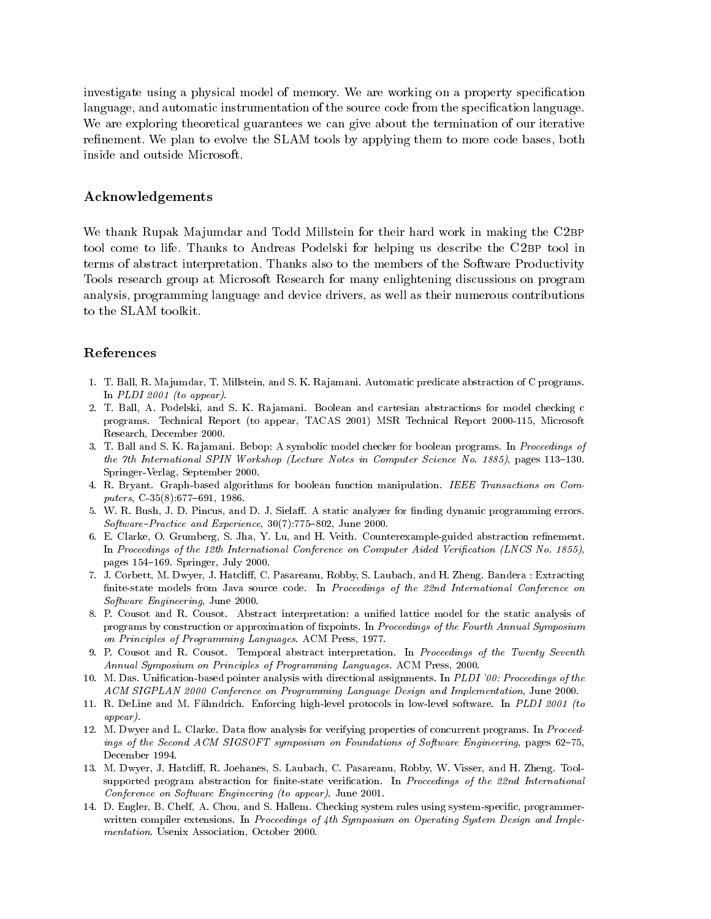investigate using a physical model of memory. We are working on a property specification language, and automatic instrumentation of the source code from the specification language. We are exploring theoretical guarantees we can give about the termination of our iterative refinement. We plan to evolve the SLAM tools by applying them to more code bases, both inside and outside Microsoft.

## Acknowledgements

We thank Rupak Majumdar and Todd Millstein for their hard work in making the C2BP tool come to life. Thanks to Andreas Podelski for helping us describe the C2BP tool in terms of abstract interpretation. Thanks also to the members of the Software Productivity Tools research group at Microsoft Research for many enlightening discussions on program analysis, programming language and device drivers, as well as their numerous contributions to the SLAM toolkit.

### References

- 1. T. Ball, R. Ma jumdar, T. Millstein, and S. K. Ra jamani. Automatic predicate abstraction of C programs. In PLDI 2001 (to appear).
- 2. T. Ball, A. Podelski, and S. K. Ra jamani. Boolean and cartesian abstractions for model checking c programs. Technical Report (to appear, TACAS 2001) MSR Technical Report 2000-115, Microsoft Research, December 2000.
- 3. T. Ball and S. K. Rajamani. Bebop: A symbolic model checker for boolean programs. In Proceedings of the 7th International SPIN Workshop (Lecture Notes in Computer Science No. 1885), pages 113-130. Springer-Verlag, September 2000.
- 4. R. Bryant. Graph-based algorithms for boolean function manipulation. IEEE Transactions on Computers,  $C-35(8):677-691$ , 1986.
- 5. W. R. Bush, J. D. Pincus, and D. J. Sielaff. A static analyzer for finding dynamic programming errors. Software-Practice and Experience,  $30(7)$ :775-802, June 2000.
- 6. E. Clarke, O. Grumberg, S. Jha, Y. Lu, and H. Veith. Counterexample-guided abstraction refinement. In Proceedings of the 12th International Conference on Computer Aided Verification (LNCS No. 1855), pages 154-169. Springer, July 2000.
- 7. J. Corbett, M. Dwyer, J. Hatcliff, C. Pasareanu, Robby, S. Laubach, and H. Zheng. Bandera : Extracting finite-state models from Java source code. In Proceedings of the 22nd International Conference on Software Engineering, June 2000.
- 8. P. Cousot and R. Cousot. Abstract interpretation: a unied lattice model for the static analysis of programs by construction or approximation of fixpoints. In Proceedings of the Fourth Annual Symposium on Principles of Programming Languages. ACM Press, 1977.
- 9. P. Cousot and R. Cousot. Temporal abstract interpretation. In Proceedings of the Twenty Seventh Annual Symposium on Principles of Programming Languages. ACM Press, 2000.
- 10. M. Das. Unification-based pointer analysis with directional assignments. In PLDI '00: Proceedings of the ACM SIGPLAN 2000 Conference on Programming Language Design and Implementation, June 2000.
- 11. R. DeLine and M. Fahndrich. Enforcing high-level protocols in low-level software. In PLDI 2001 (to appear).
- 12. M. Dwyer and L. Clarke. Data flow analysis for verifying properties of concurrent programs. In Proceedings of the Second ACM SIGSOFT symposium on Foundations of Software Engineering, pages  $62-75$ , December 1994.
- 13. M. Dwyer, J. Hatcliff, R. Joehanes, S. Laubach, C. Pasareanu, Robby, W. Visser, and H. Zheng. Toolsupported program abstraction for finite-state verification. In Proceedings of the 22nd International Conference on Software Engineering (to appear), June 2001.
- 14. D. Engler, B. Chelf, A. Chou, and S. Hallem. Checking system rules using system-specic, programmerwritten compiler extensions. In Proceedings of 4th Symposium on Operating System Design and Implementation. Usenix Association, October 2000.